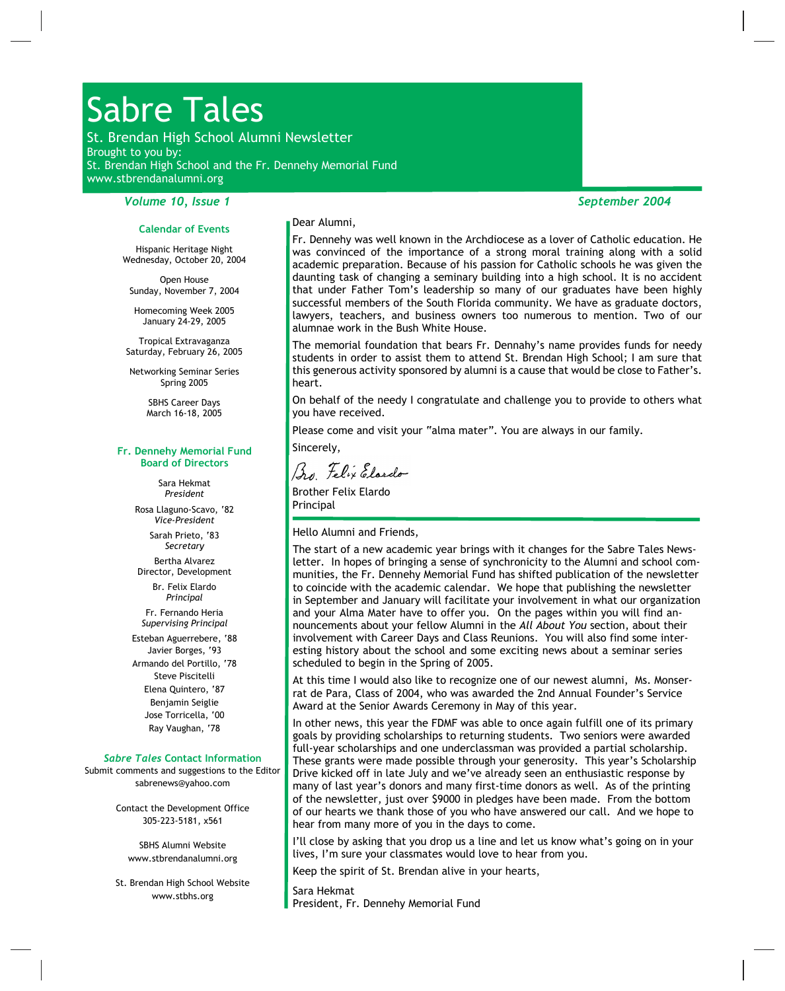# Sabre Tales

St. Brendan High School Alumni Newsletter Brought to you by: St. Brendan High School and the Fr. Dennehy Memorial Fund www.stbrendanalumni.org

# *Volume 10, Issue 1 September 2004*

#### **Calendar of Events**

Hispanic Heritage Night Wednesday, October 20, 2004

Open House Sunday, November 7, 2004

Homecoming Week 2005 January 24-29, 2005

Tropical Extravaganza Saturday, February 26, 2005

Networking Seminar Series Spring 2005

> SBHS Career Days March 16-18, 2005

#### **Fr. Dennehy Memorial Fund Board of Directors**

Sara Hekmat *President* Rosa Llaguno-Scavo, '82 *Vice-President* Sarah Prieto, '83 *Secretary*

Bertha Alvarez Director, Development

Br. Felix Elardo *Principal* Fr. Fernando Heria

*Supervising Principal*

Esteban Aguerrebere, '88 Javier Borges, '93 Armando del Portillo, '78 Steve Piscitelli Elena Quintero, '87 Benjamin Seiglie Jose Torricella, '00 Ray Vaughan, '78

#### *Sabre Tales***Contact Information**

Submit comments and suggestions to the Editor sabrenews@yahoo.com

> Contact the Development Office 305-223-5181, x561

SBHS Alumni Website www.stbrendanalumni.org

St. Brendan High School Website www.stbhs.org

Dear Alumni,

Fr. Dennehy was well known in the Archdiocese as a lover of Catholic education. He was convinced of the importance of a strong moral training along with a solid academic preparation. Because of his passion for Catholic schools he was given the daunting task of changing a seminary building into a high school. It is no accident that under Father Tom's leadership so many of our graduates have been highly successful members of the South Florida community. We have as graduate doctors, lawyers, teachers, and business owners too numerous to mention. Two of our alumnae work in the Bush White House.

The memorial foundation that bears Fr. Dennahy's name provides funds for needy students in order to assist them to attend St. Brendan High School; I am sure that this generous activity sponsored by alumni is a cause that would be close to Father's. heart.

On behalf of the needy I congratulate and challenge you to provide to others what you have received.

Please come and visit your "alma mater". You are always in our family.

Sincerely,

Bu Felix Elardo

Brother Felix Elardo Principal

#### Hello Alumni and Friends,

The start of a new academic year brings with it changes for the Sabre Tales News letter. In hopes of bringing a sense of synchronicity to the Alumni and school com munities, the Fr. Dennehy Memorial Fund has shifted publication of the newsletter to coincide with the academic calendar. We hope that publishing the newsletter in September and January will facilitate your involvement in what our organization and your Alma Mater have to offer you. On the pages within you will find an nouncements about your fellow Alumni in the*All About You* section, about their involvement with Career Days and Class Reunions. You will also find some inter esting history about the school and some exciting news about a seminar series scheduled to begin in the Spring of 2005.

At this time I would also like to recognize one of our newest alumni, Ms. Monser rat de Para, Class of 2004, who was awarded the 2nd Annual Founder's Service Award at the Senior Awards Ceremony in May of this year.

In other news, this year the FDMF was able to once again fulfill one of its primary goals by providing scholarships to returning students. Two seniors were awarded full-year scholarships and one underclassman was provided a partial scholarship. These grants were made possible through your generosity. This year's Scholarship Drive kicked off in late July and we've already seen an enthusiastic response by many of last year's donors and many first-time donors as well. As of the printing of the newsletter, just over \$9000 in pledges have been made. From the bottom of our hearts we thank those of you who have answered our call. And we hope to hear from many more of you in the days to come.

I'll close by asking that you drop us a line and let us know what's going on in your lives, I'm sure your classmates would love to hear from you.

Keep the spirit of St. Brendan alive in your hearts,

Sara Hekmat President, Fr. Dennehy Memorial Fund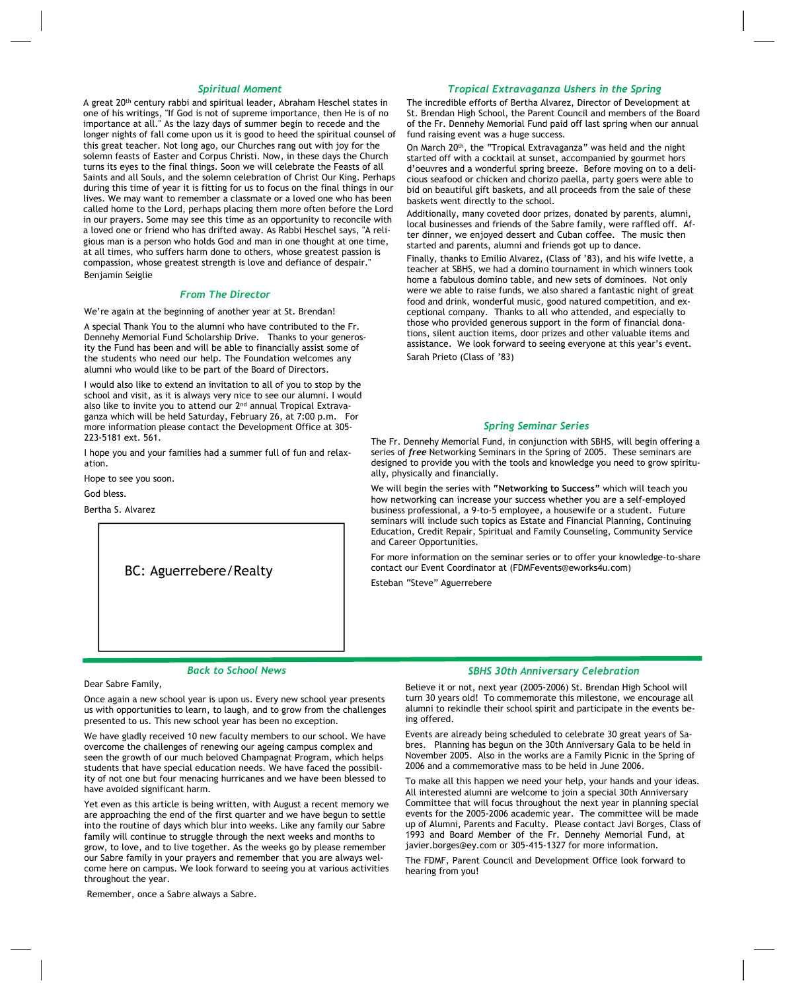#### *Spiritual Moment*

A great 20th century rabbi and spiritual leader, Abraham Heschel states in one of his writings, "If God is not of supreme importance, then He is of no importance at all." As the lazy days of summer begin to recede and the longer nights of fall come upon us it is good to heed the spiritual counsel of this great teacher. Not long ago, our Churches rang out with joy for the solemn feasts of Easter and Corpus Christi. Now, in these days the Church turns its eyes to the final things. Soon we will celebrate the Feasts of all Saints and all Souls, and the solemn celebration of Christ Our King. Perhaps during this time of year it is fitting for us to focus on the final things in our lives. We may want to remember a classmate or a loved one who has been called home to the Lord, perhaps placing them more often before the Lord in our prayers. Some may see this time as an opportunity to reconcile with a loved one or friend who has drifted away. As Rabbi Heschel says, "A reli gious man is a person who holds God and man in one thought at one time, at all times, who suffers harm done to others, whose greatest passion is compassion, whose greatest strength is love and defiance of despair." Benjamin Seiglie

#### *From The Director*

We're again at the beginning of another year at St. Brendan!

A special Thank You to the alumni who have contributed to the Fr. Dennehy Memorial Fund Scholarship Drive. Thanks to your generos ity the Fund has been and will be able to financially assist some of the students who need our help. The Foundation welcomes any alumni who would like to be part of the Board of Directors.

I would also like to extend an invitation to all of you to stop by the school and visit, as it is always very nice to see our alumni. I would also like to invite you to attend our 2<sup>nd</sup> annual Tropical Extravaganza which will be held Saturday, February 26, at 7:00 p.m. For more information please contact the Development Office at 305- 223-5181 ext. 561.

I hope you and your families had a summer full of fun and relax ation.

Hope to see you soon.

God bless.

Bertha S. Alvarez

BC: Aguerrebere/Realty

# *Tropical Extravaganza Ushers in the Spring*

The incredible efforts of Bertha Alvarez, Director of Development at St. Brendan High School, the Parent Council and members of the Board of the Fr. Dennehy Memorial Fund paid off last spring when our annual fund raising event was a huge success.

On March 20th, the "Tropical Extravaganza" was held and the night started off with a cocktail at sunset, accompanied by gourmet hors d'oeuvres and a wonderful spring breeze. Before moving on to a deli cious seafood or chicken and chorizo paella, party goers were able to bid on beautiful gift baskets, and all proceeds from the sale of these baskets went directly to the school.

Additionally, many coveted door prizes, donated by parents, alumni, local businesses and friends of the Sabre family, were raffled off. Af ter dinner, we enjoyed dessert and Cuban coffee. The music then started and parents, alumni and friends got up to dance.

Finally, thanks to Emilio Alvarez, (Class of '83), and his wife Ivette, a teacher at SBHS, we had a domino tournament in which winners took home a fabulous domino table, and new sets of dominoes. Not only were we able to raise funds, we also shared a fantastic night of great food and drink, wonderful music, good natured competition, and ex ceptional company. Thanks to all who attended, and especially to those who provided generous support in the form of financial dona tions, silent auction items, door prizes and other valuable items and assistance. We look forward to seeing everyone at this year's event. Sarah Prieto (Class of '83)

#### *Spring Seminar Series*

The Fr. Dennehy Memorial Fund, in conjunction with SBHS, will begin offering a series of*free* Networking Seminars in the Spring of 2005. These seminars are designed to provide you with the tools and knowledge you need to grow spiritu ally, physically and financially.

We will begin the series with**"Networking to Success"** which will teach you how networking can increase your success whether you are a self-employed business professional, a 9-to-5 employee, a housewife or a student. Future seminars will include such topics as Estate and Financial Planning, Continuing Education, Credit Repair, Spiritual and Family Counseling, Community Service and Career Opportunities.

For more information on the seminar series or to offer your knowledge-to-share contact our Event Coordinator at (FDMFevents@eworks4u.com)

Esteban "Steve" Aguerrebere

#### *Back to School News*

Dear Sabre Family,

Once again a new school year is upon us. Every new school year presents us with opportunities to learn, to laugh, and to grow from the challenges presented to us. This new school year has been no exception.

We have gladly received 10 new faculty members to our school. We have overcome the challenges of renewing our ageing campus complex and seen the growth of our much beloved Champagnat Program, which helps students that have special education needs. We have faced the possibil ity of not one but four menacing hurricanes and we have been blessed to have avoided significant harm.

Yet even as this article is being written, with August a recent memory we are approaching the end of the first quarter and we have begun to settle into the routine of days which blur into weeks. Like any family our Sabre family will continue to struggle through the next weeks and months to grow, to love, and to live together. As the weeks go by please remember our Sabre family in your prayers and remember that you are always wel come here on campus. We look forward to seeing you at various activities throughout the year.

Remember, once a Sabre always a Sabre.

#### *SBHS 30th Anniversary Celebration*

Believe it or not, next year (2005-2006) St. Brendan High School will turn 30 years old! To commemorate this milestone, we encourage all alumni to rekindle their school spirit and participate in the events be ing offered.

Events are already being scheduled to celebrate 30 great years of Sa bres. Planning has begun on the 30th Anniversary Gala to be held in November 2005. Also in the works are a Family Picnic in the Spring of 2006 and a commemorative mass to be held in June 2006.

To make all this happen we need your help, your hands and your ideas. All interested alumni are welcome to join a special 30th Anniversary Committee that will focus throughout the next year in planning special events for the 2005-2006 academic year. The committee will be made up of Alumni, Parents and Faculty. Please contact Javi Borges, Class of 1993 and Board Member of the Fr. Dennehy Memorial Fund, at javier.borges@ey.com or 305-415-1327 for more information.

The FDMF, Parent Council and Development Office look forward to hearing from you!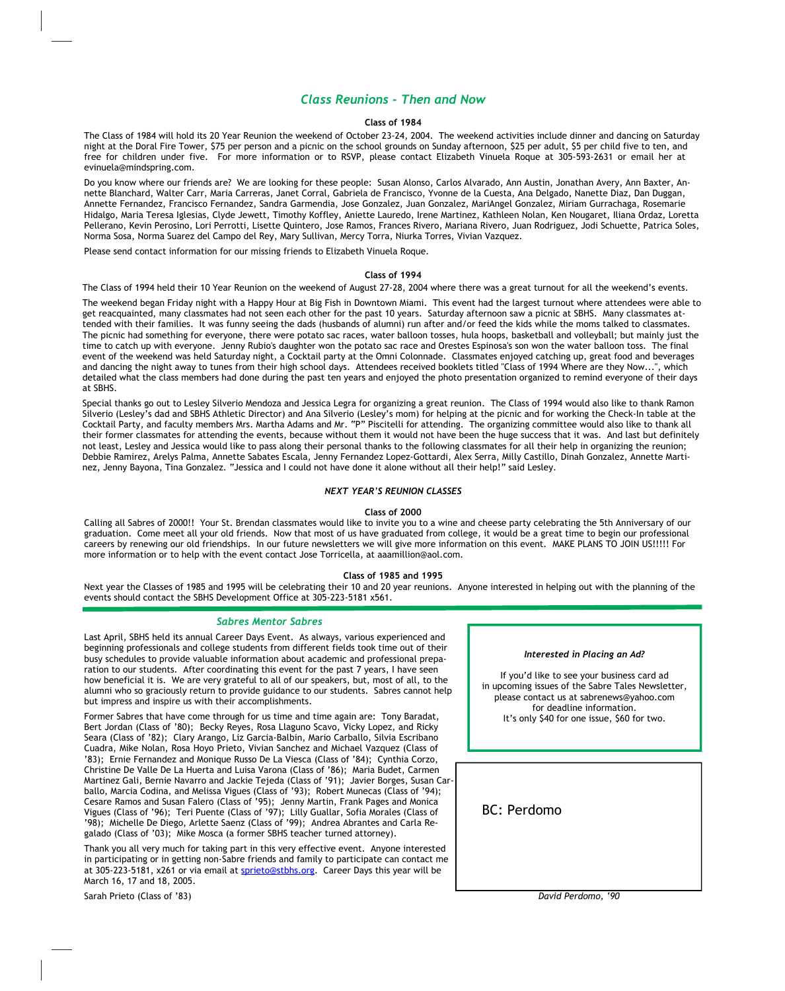# *Class Reunions - Then and Now*

#### **Class of 1984**

The Class of 1984 will hold its 20 Year Reunion the weekend of October 23-24, 2004. The weekend activities include dinner and dancing on Saturday night at the Doral Fire Tower, \$75 per person and a picnic on the school grounds on Sunday afternoon, \$25 per adult, \$5 per child five to ten, and free for children under five. For more information or to RSVP, please contact Elizabeth Vinuela Roque at 305-593-2631 or email her at evinuela@mindspring.com.

Do you know where our friends are? We are looking for these people: Susan Alonso, Carlos Alvarado, Ann Austin, Jonathan Avery, Ann Baxter, An nette Blanchard, Walter Carr, Maria Carreras, Janet Corral, Gabriela de Francisco, Yvonne de la Cuesta, Ana Delgado, Nanette Diaz, Dan Duggan, Annette Fernandez, Francisco Fernandez, Sandra Garmendia, Jose Gonzalez, Juan Gonzalez, MariAngel Gonzalez, Miriam Gurrachaga, Rosemarie Hidalgo, Maria Teresa Iglesias, Clyde Jewett, Timothy Koffley, Aniette Lauredo, Irene Martinez, Kathleen Nolan, Ken Nougaret, Iliana Ordaz, Loretta Pellerano, Kevin Perosino, Lori Perrotti, Lisette Quintero, Jose Ramos, Frances Rivero, Mariana Rivero, Juan Rodriguez, Jodi Schuette, Patrica Soles, Norma Sosa, Norma Suarez del Campo del Rey, Mary Sullivan, Mercy Torra, Niurka Torres, Vivian Vazquez.

Please send contact information for our missing friends to Elizabeth Vinuela Roque.

#### **Class of 1994**

The Class of 1994 held their 10 Year Reunion on the weekend of August 27-28, 2004 where there was a great turnout for all the weekend's events.

The weekend began Friday night with a Happy Hour at Big Fish in Downtown Miami. This event had the largest turnout where attendees were able to get reacquainted, many classmates had not seen each other for the past 10 years. Saturday afternoon saw a picnic at SBHS. Many classmates at tended with their families. It was funny seeing the dads (husbands of alumni) run after and/or feed the kids while the moms talked to classmates. The picnic had something for everyone, there were potato sac races, water balloon tosses, hula hoops, basketball and volleyball; but mainly just the time to catch up with everyone. Jenny Rubio's daughter won the potato sac race and Orestes Espinosa's son won the water balloon toss. The final event of the weekend was held Saturday night, a Cocktail party at the Omni Colonnade. Classmates enjoyed catching up, great food and beverages and dancing the night away to tunes from their high school days. Attendees received booklets titled "Class of 1994 Where are they Now...", which detailed what the class members had done during the past ten years and enjoyed the photo presentation organized to remind everyone of their days at SBHS.

Special thanks go out to Lesley Silverio Mendoza and Jessica Legra for organizing a great reunion. The Class of 1994 would also like to thank Ramon Silverio (Lesley's dad and SBHS Athletic Director) and Ana Silverio (Lesley's mom) for helping at the picnic and for working the Check-In table at the Cocktail Party, and faculty members Mrs. Martha Adams and Mr. "P" Piscitelli for attending. The organizing committee would also like to thank all their former classmates for attending the events, because without them it would not have been the huge success that it was. And last but definitely not least, Lesley and Jessica would like to pass along their personal thanks to the following classmates for all their help in organizing the reunion; Debbie Ramirez, Arelys Palma, Annette Sabates Escala, Jenny Fernandez Lopez-Gottardi, Alex Serra, Milly Castillo, Dinah Gonzalez, Annette Marti nez, Jenny Bayona, Tina Gonzalez. "Jessica and I could not have done it alone without all their help!" said Lesley.

#### *NEXT YEAR'S REUNION CLASSES*

#### **Class of 2000**

Calling all Sabres of 2000!! Your St. Brendan classmates would like to invite you to a wine and cheese party celebrating the 5th Anniversary of our graduation. Come meet all your old friends. Now that most of us have graduated from college, it would be a great time to begin our professional careers by renewing our old friendships. In our future newsletters we will give more information on this event. MAKE PLANS TO JOIN US!!!!! For more information or to help with the event contact Jose Torricella, at aaamillion@aol.com.

#### **Class of 1985 and 1995**

Next year the Classes of 1985 and 1995 will be celebrating their 10 and 20 year reunions. Anyone interested in helping out with the planning of the events should contact the SBHS Development Office at 305-223-5181 x561.

#### *Sabres Mentor Sabres*

Last April, SBHS held its annual Career Days Event. As always, various experienced and beginning professionals and college students from different fields took time out of their busy schedules to provide valuable information about academic and professional prepa ration to our students. After coordinating this event for the past 7 years, I have seen how beneficial it is. We are very grateful to all of our speakers, but, most of all, to the alumni who so graciously return to provide guidance to our students. Sabres cannot help but impress and inspire us with their accomplishments.

Former Sabres that have come through for us time and time again are: Tony Baradat, Bert Jordan (Class of '80); Becky Reyes, Rosa Llaguno Scavo, Vicky Lopez, and Ricky Seara (Class of '82); Clary Arango, Liz Garcia-Balbin, Mario Carballo, Silvia Escribano Cuadra, Mike Nolan, Rosa Hoyo Prieto, Vivian Sanchez and Michael Vazquez (Class of '83); Ernie Fernandez and Monique Russo De La Viesca (Class of '84); Cynthia Corzo, Christine De Valle De La Huerta and Luisa Varona (Class of '86); Maria Budet, Carmen Martinez Gali, Bernie Navarro and Jackie Tejeda (Class of '91); Javier Borges, Susan Car ballo, Marcia Codina, and Melissa Vigues (Class of '93); Robert Munecas (Class of '94); Cesare Ramos and Susan Falero (Class of '95); Jenny Martin, Frank Pages and Monica Vigues (Class of '96); Teri Puente (Class of '97); Lilly Guallar, Sofia Morales (Class of '98); Michelle De Diego, Arlette Saenz (Class of '99); Andrea Abrantes and Carla Re galado (Class of '03); Mike Mosca (a former SBHS teacher turned attorney).

Thank you all very much for taking part in this very effective event. Anyone interested in participating or in getting non-Sabre friends and family to participate can contact me at 305-223-5181, x261 or via email at sprieto@stbhs.org. Career Days this year will be March 16, 17 and 18, 2005.

Sarah Prieto (Class of '83)

#### *Interested in Placing an Ad?*

If you'd like to see your business card ad in upcoming issues of the Sabre Tales Newsletter, please contact us at sabrenews@yahoo.com for deadline information. It's only \$40 for one issue, \$60 for two.

# BC: Perdomo

*David Perdomo, '90*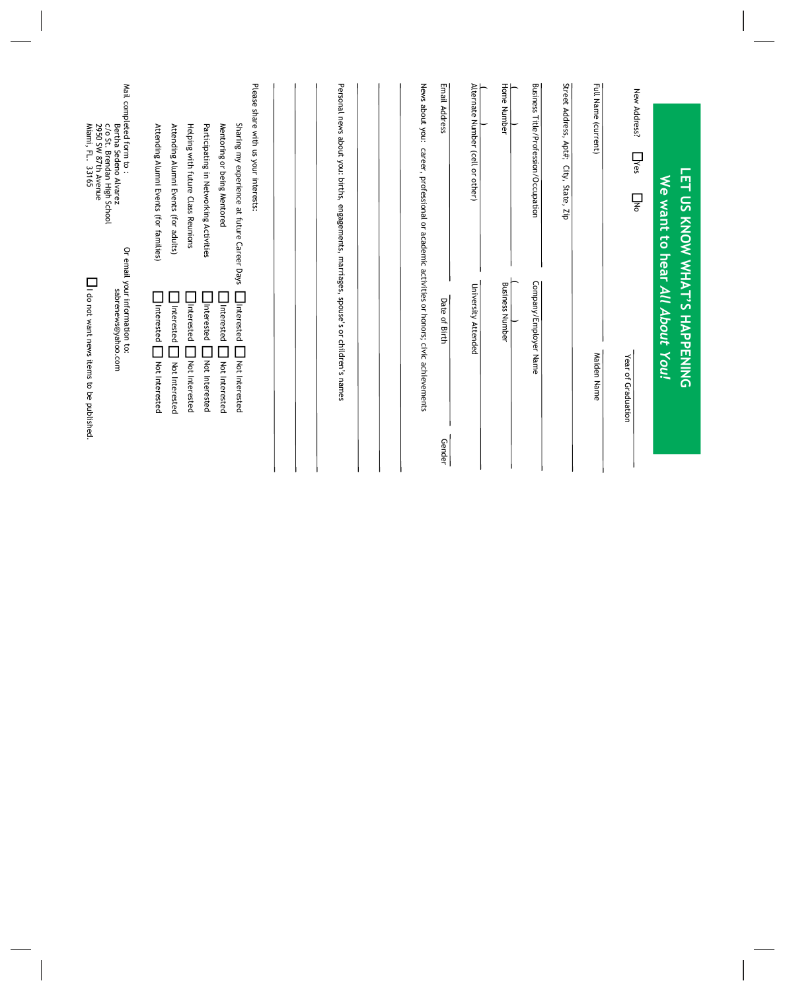|                                                                                                        | <b>LET US KNOW WHAT'S HAPPENING</b><br>We want to hear All About You! |
|--------------------------------------------------------------------------------------------------------|-----------------------------------------------------------------------|
| New Address?<br>$\Box$ Yes<br>$\overline{\mathsf{L}}$                                                  | Year of Graduation                                                    |
| Full Name (current)                                                                                    | Maiden Name                                                           |
| Street Address, Apt#;<br>City, State, Zip                                                              |                                                                       |
| Business Title/Profession/Occupation                                                                   | Company/Employer Name                                                 |
|                                                                                                        |                                                                       |
| Home Number                                                                                            | <b>Business Number</b>                                                |
| Alternate Number (cell or other)                                                                       | University Attended                                                   |
| Email Address                                                                                          | Date of Birth<br>Gender                                               |
| News about you: career, professional or academic activities or honors; civic achievements              |                                                                       |
|                                                                                                        |                                                                       |
| Personal news about you: births, engagements, marriages, spouse's or children's names                  |                                                                       |
|                                                                                                        |                                                                       |
| Please share with us your interests:<br>Sharing my experience at future Career Days                    | Interested<br>Not Interested                                          |
| Mentoring or being Mentored                                                                            | Interested<br>$\overline{\phantom{a}}$<br>Not Interested              |
| Participating in Networking Activities                                                                 | Interested<br>Not Interested                                          |
| Helping with future Class Reunions<br>Attending Alumni Events (for adults)                             | Interested<br>Interested<br>Not Interested<br>Not Interested          |
| Attending Alumni Events (for families)                                                                 | Interested<br>$\overline{\phantom{a}}$<br>Not Interested              |
| Mail completed form to:<br>Bertha Sedeno Alvarez<br>C/o St. Brendan High School<br>2950 SW 87th Avenue | Or email your information to:<br>sabrenews@yahoo.com                  |
| Miami, FL.<br>33165                                                                                    | I do not want news items to be published.                             |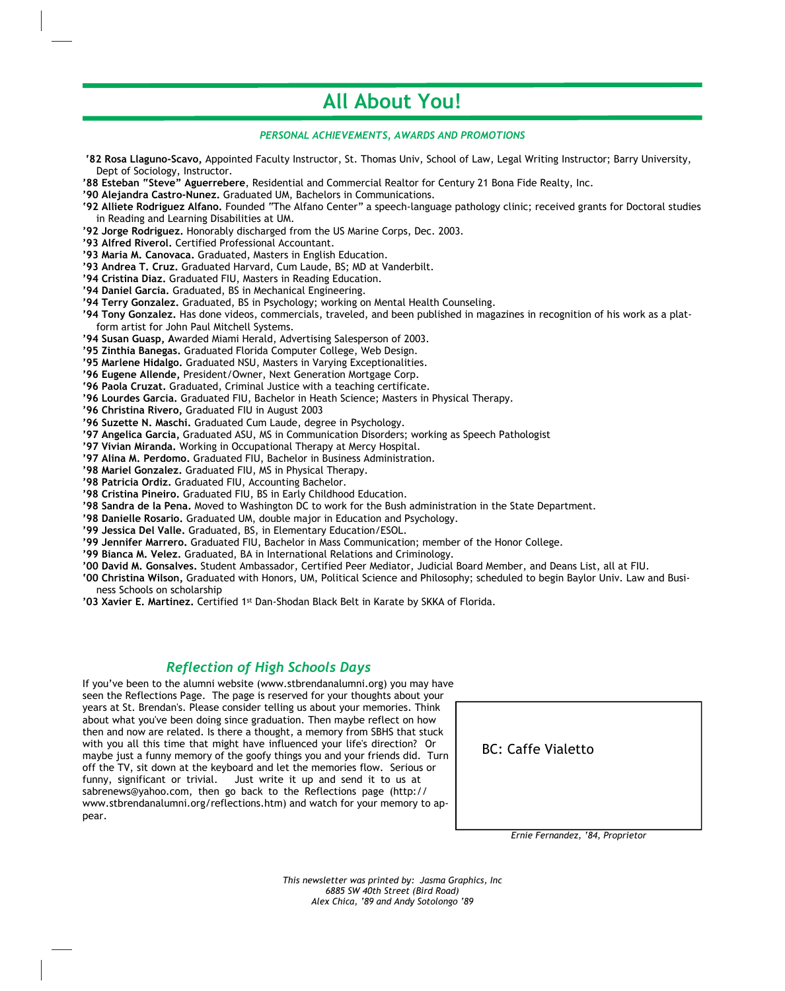# **All About You!**

### *PERSONAL ACHIEVEMENTS, AWARDS AND PROMOTIONS*

- **'82 Rosa Llaguno-Scavo,** Appointed Faculty Instructor, St. Thomas Univ, School of Law, Legal Writing Instructor; Barry University, Dept of Sociology, Instructor.
- **'88 Esteban "Steve" Aguerrebere**, Residential and Commercial Realtor for Century 21 Bona Fide Realty, Inc.
- **'90 Alejandra Castro-Nunez.**Graduated UM, Bachelors in Communications.
- **'92 Alliete Rodriguez Alfano.** Founded "The Alfano Center" a speech-language pathology clinic; received grants for Doctoral studies in Reading and Learning Disabilities at UM.
- **'92 Jorge Rodriguez.**Honorably discharged from the US Marine Corps, Dec. 2003.
- **'93 Alfred Riverol.** Certified Professional Accountant.
- **'93 Maria M. Canovaca.** Graduated, Masters in English Education.
- **'93 Andrea T. Cruz.** Graduated Harvard, Cum Laude, BS; MD at Vanderbilt.
- **'94 Cristina Diaz.**Graduated FIU, Masters in Reading Education.
- **'94 Daniel Garcia.**Graduated, BS in Mechanical Engineering.
- **'94 Terry Gonzalez.** Graduated, BS in Psychology; working on Mental Health Counseling.
- **'94 Tony Gonzalez.**Has done videos, commercials, traveled, and been published in magazines in recognition of his work as a plat form artist for John Paul Mitchell Systems.
- **'94 Susan Guasp, A**warded Miami Herald, Advertising Salesperson of 2003.
- **'95 Zinthia Banegas.**Graduated Florida Computer College, Web Design.
- **'95 Marlene Hidalgo.**Graduated NSU, Masters in Varying Exceptionalities.
- '96 Eugene Allende, President/Owner, Next Generation Mortgage Corp.
- **'96 Paola Cruzat.**Graduated, Criminal Justice with a teaching certificate.
- **'96 Lourdes Garcia.**Graduated FIU, Bachelor in Heath Science; Masters in Physical Therapy.
- **'96 Christina Rivero,**Graduated FIU in August 2003
- **'96 Suzette N. Maschi.** Graduated Cum Laude, degree in Psychology.
- **'97 Angelica Garcia,**Graduated ASU, MS in Communication Disorders; working as Speech Pathologist
- **'97 Vivian Miranda.**Working in Occupational Therapy at Mercy Hospital.
- **'97 Alina M. Perdomo.**Graduated FIU, Bachelor in Business Administration.
- **'98 Mariel Gonzalez.**Graduated FIU, MS in Physical Therapy.
- **'98 Patricia Ordiz.**Graduated FIU, Accounting Bachelor.
- **'98 Cristina Pineiro.** Graduated FIU, BS in Early Childhood Education.
- **'98 Sandra de la Pena.**Moved to Washington DC to work for the Bush administration in the State Department.
- **'98 Danielle Rosario.**Graduated UM, double major in Education and Psychology.
- **'99 Jessica Del Valle.**Graduated, BS, in Elementary Education/ESOL.
- **'99 Jennifer Marrero.**Graduated FIU, Bachelor in Mass Communication; member of the Honor College.
- **'99 Bianca M. Velez.**Graduated, BA in International Relations and Criminology.
- **'00 David M. Gonsalves.**Student Ambassador, Certified Peer Mediator, Judicial Board Member, and Deans List, all at FIU.
- **'00 Christina Wilson,**Graduated with Honors, UM, Political Science and Philosophy; scheduled to begin Baylor Univ. Law and Busi ness Schools on scholarship
- **'03 Xavier E. Martinez.** Certified 1st Dan-Shodan Black Belt in Karate by SKKA of Florida.

# *Reflection of High Schools Days*

If you've been to the alumni website (www.stbrendanalumni.org) you may have seen the Reflections Page. The page is reserved for your thoughts about your years at St. Brendan's. Please consider telling us about your memories. Think about what you've been doing since graduation. Then maybe reflect on how then and now are related. Is there a thought, a memory from SBHS that stuck with you all this time that might have influenced your life's direction? Or maybe just a funny memory of the goofy things you and your friends did. Turn off the TV, sit down at the keyboard and let the memories flow. Serious or funny, significant or trivial. Just write it up and send it to us at sabrenews@yahoo.com, then go back to the Reflections page (http:// www.stbrendanalumni.org/reflections.htm) and watch for your memory to ap pear.

BC: Caffe Vialetto

*Ernie Fernandez, '84, Proprietor*

*This newsletter was printed by: Jasma Graphics, Inc 6885 SW 40th Street (Bird Road) Alex Chica, '89 and Andy Sotolongo '89*